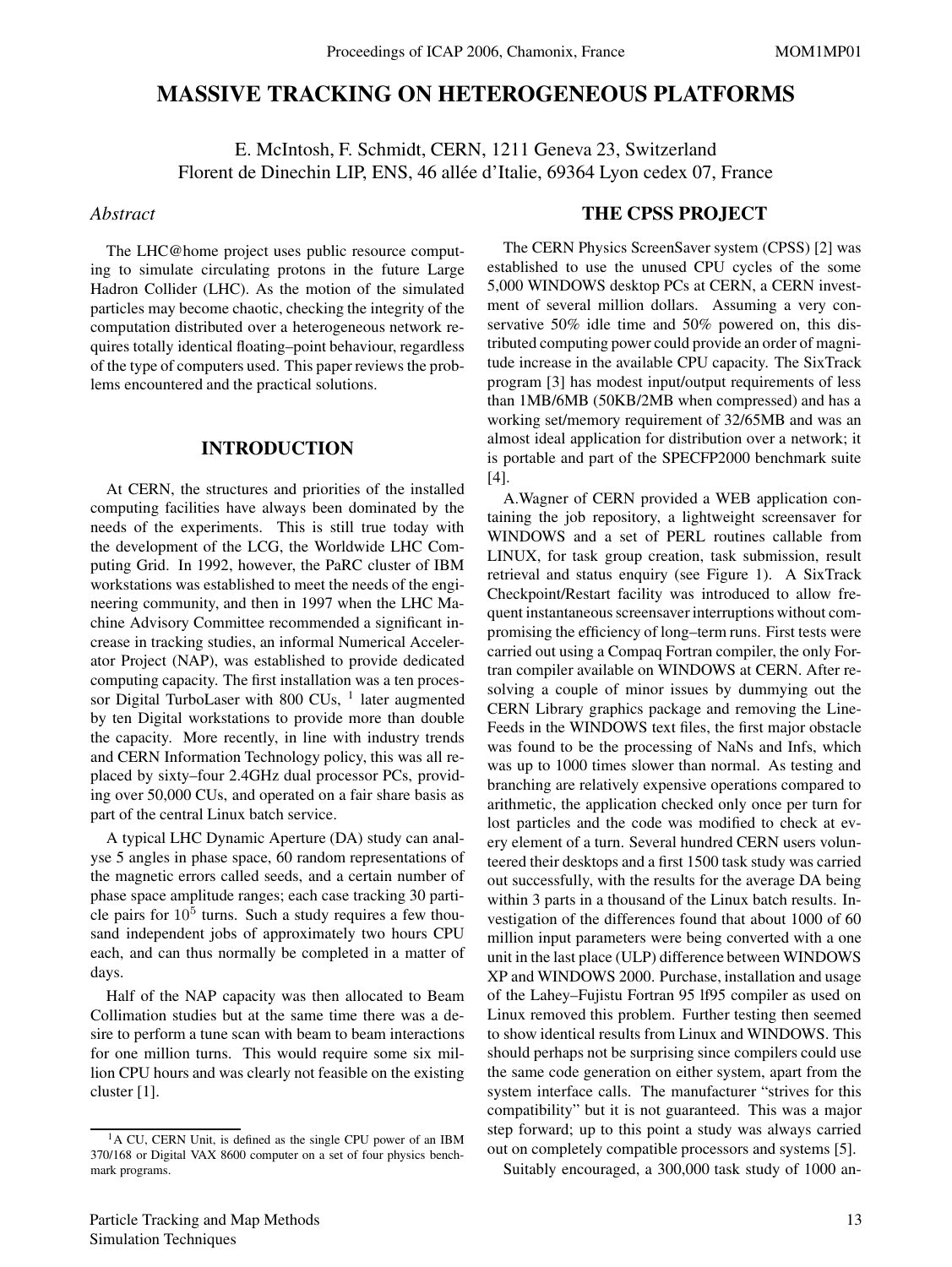# **MASSIVE TRACKING ON HETEROGENEOUS PLATFORMS**

E. McIntosh, F. Schmidt, CERN, 1211 Geneva 23, Switzerland Florent de Dinechin LIP, ENS, 46 allée d'Italie, 69364 Lyon cedex 07, France

### *Abstract*

The LHC@home project uses public resource computing to simulate circulating protons in the future Large Hadron Collider (LHC). As the motion of the simulated particles may become chaotic, checking the integrity of the computation distributed over a heterogeneous network requires totally identical floating–point behaviour, regardless of the type of computers used. This paper reviews the problems encountered and the practical solutions.

## **INTRODUCTION**

At CERN, the structures and priorities of the installed computing facilities have always been dominated by the needs of the experiments. This is still true today with the development of the LCG, the Worldwide LHC Computing Grid. In 1992, however, the PaRC cluster of IBM workstations was established to meet the needs of the engineering community, and then in 1997 when the LHC Machine Advisory Committee recommended a significant increase in tracking studies, an informal Numerical Accelerator Project (NAP), was established to provide dedicated computing capacity. The first installation was a ten processor Digital TurboLaser with 800 CUs,  $<sup>1</sup>$  later augmented</sup> by ten Digital workstations to provide more than double the capacity. More recently, in line with industry trends and CERN Information Technology policy, this was all replaced by sixty–four 2.4GHz dual processor PCs, providing over 50,000 CUs, and operated on a fair share basis as part of the central Linux batch service.

A typical LHC Dynamic Aperture (DA) study can analyse 5 angles in phase space, 60 random representations of the magnetic errors called seeds, and a certain number of phase space amplitude ranges; each case tracking 30 particle pairs for  $10<sup>5</sup>$  turns. Such a study requires a few thousand independent jobs of approximately two hours CPU each, and can thus normally be completed in a matter of days.

Half of the NAP capacity was then allocated to Beam Collimation studies but at the same time there was a desire to perform a tune scan with beam to beam interactions for one million turns. This would require some six million CPU hours and was clearly not feasible on the existing cluster [1].

### **THE CPSS PROJECT**

The CERN Physics ScreenSaver system (CPSS) [2] was established to use the unused CPU cycles of the some 5,000 WINDOWS desktop PCs at CERN, a CERN investment of several million dollars. Assuming a very conservative 50% idle time and 50% powered on, this distributed computing power could provide an order of magnitude increase in the available CPU capacity. The SixTrack program [3] has modest input/output requirements of less than 1MB/6MB (50KB/2MB when compressed) and has a working set/memory requirement of 32/65MB and was an almost ideal application for distribution over a network; it is portable and part of the SPECFP2000 benchmark suite [4].

A.Wagner of CERN provided a WEB application containing the job repository, a lightweight screensaver for WINDOWS and a set of PERL routines callable from LINUX, for task group creation, task submission, result retrieval and status enquiry (see Figure 1). A SixTrack Checkpoint/Restart facility was introduced to allow frequent instantaneous screensaver interruptions without compromising the efficiency of long–term runs. First tests were carried out using a Compaq Fortran compiler, the only Fortran compiler available on WINDOWS at CERN. After resolving a couple of minor issues by dummying out the CERN Library graphics package and removing the Line-Feeds in the WINDOWS text files, the first major obstacle was found to be the processing of NaNs and Infs, which was up to 1000 times slower than normal. As testing and branching are relatively expensive operations compared to arithmetic, the application checked only once per turn for lost particles and the code was modified to check at every element of a turn. Several hundred CERN users volunteered their desktops and a first 1500 task study was carried out successfully, with the results for the average DA being within 3 parts in a thousand of the Linux batch results. Investigation of the differences found that about 1000 of 60 million input parameters were being converted with a one unit in the last place (ULP) difference between WINDOWS XP and WINDOWS 2000. Purchase, installation and usage of the Lahey–Fujistu Fortran 95 lf95 compiler as used on Linux removed this problem. Further testing then seemed to show identical results from Linux and WINDOWS. This should perhaps not be surprising since compilers could use the same code generation on either system, apart from the system interface calls. The manufacturer "strives for this compatibility" but it is not guaranteed. This was a major step forward; up to this point a study was always carried out on completely compatible processors and systems [5].

Suitably encouraged, a 300,000 task study of 1000 an-

<sup>&</sup>lt;sup>1</sup>A CU, CERN Unit, is defined as the single CPU power of an IBM 370/168 or Digital VAX 8600 computer on a set of four physics benchmark programs.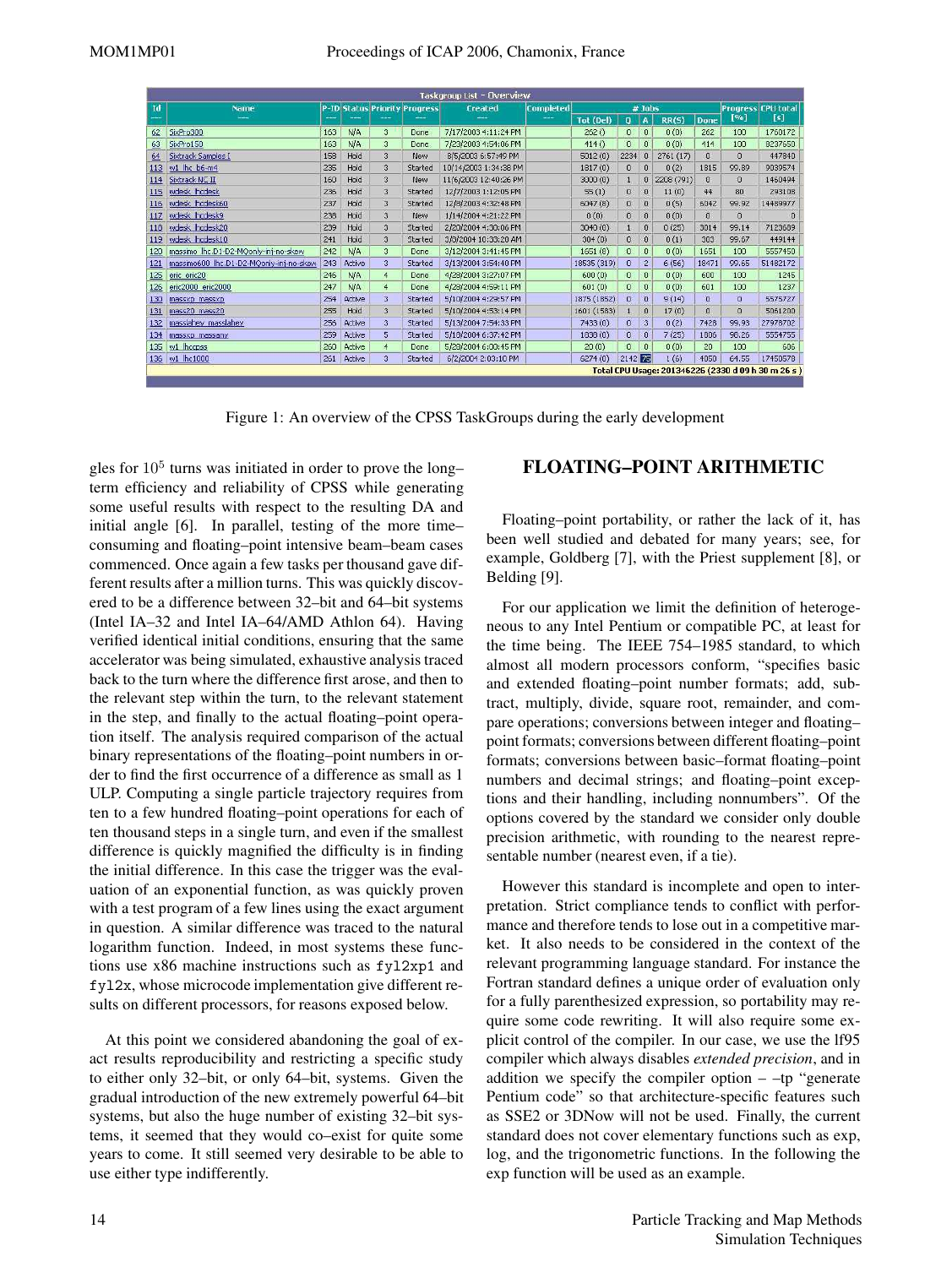|     | Taskgroup List - Overview               |     |               |                |                                      |                                                |  |             |              |                           |            |                |              |                                                    |
|-----|-----------------------------------------|-----|---------------|----------------|--------------------------------------|------------------------------------------------|--|-------------|--------------|---------------------------|------------|----------------|--------------|----------------------------------------------------|
| Id  | Name                                    |     |               |                | <b>P-ID Status Priority Progress</b> | $#$ Jobs<br><b>Completed</b><br><b>Created</b> |  |             |              | <b>Progress CPU total</b> |            |                |              |                                                    |
|     | $\frac{1}{2}$                           | --- | ---           |                |                                      |                                                |  | Tot (Del)   | o            | A                         | RR(S)      | Done           | [%]          | [s]                                                |
| 62  | SixPro300                               | 163 | N/A           | 3              | Done                                 | 7/17/2003 4:11:24 PM                           |  | 262()       | $\mathbf{0}$ | $\mathbf{0}$              | 0(0)       | 262            | 100          | 1760172                                            |
| 63  | SixPro150                               | 163 | N/A           | 3              | Done.                                | 7/23/2003 4:54:06 PM                           |  | 414()       | $\mathbf 0$  | $\overline{0}$            | 0(0)       | 414            | 100          | 8237650                                            |
| 64  | Sixtrack Samples I                      | 158 | Hold          | 3              | New                                  | 8/5/2003 6:57:49 PM                            |  | 5012(0)     | 2234         | $\Omega$                  | 2761(17)   | $\Omega$       | $\Omega$     | 447840                                             |
| 113 | w1 lhc b6-m4                            | 235 | Hold          | 3              | Started                              | 10/14/2003 1:34:38 PM                          |  | 1817(0)     | $\mathbf{0}$ | $\mathbf{0}$              | 0(2)       | 1815           | 99.89        | 9039574                                            |
| 114 | Sixtrack NC II                          | 160 | Hold          | 3              | New                                  | 11/6/2003 12:40:26 PM                          |  | 3000(0)     | ₫            | $\theta$                  | 2208 (791) | $\Omega$       | $\Omega$     | 1460494                                            |
| 115 | wdesk lhodesk                           | 236 | Hold          | 3              | Started                              | 12/7/2003 1:12:05 PM                           |  | 55(1)       | $\bf{0}$     | $\theta$                  | 11(0)      | 44             | 80           | 293108                                             |
| 116 | wdesk lhcdesk60                         | 237 | Hold          | 3              | Started                              | 12/8/2003 4:32:48 PM                           |  | 6047(8)     | $\Omega$     | $\overline{0}$            | 0(5)       | 6042           | 99.92        | 14489977                                           |
| 117 | wdesk lhcdesk9                          | 238 | Hold          | 3              | New                                  | 1/14/2004 4:21:22 PM                           |  | 0(0)        | $\mathbf{0}$ | $\mathbf{0}$              | 0(0)       | $\overline{0}$ | O            | $\theta$                                           |
| 118 | wdesk lhcdesk20                         | 239 | Hold          | 3              | Started                              | 2/20/2004 4:30:06 PM                           |  | 3040(0)     | $\mathbf{1}$ | $\mathbf{0}$              | 0(25)      | 3014           | 99.14        | 7123689                                            |
| 119 | wdesk lhcdesk10                         | 241 | Hold          | 3              | Started                              | 3/8/2004 10:33:20 AM                           |  | 304(0)      | $\theta$     | $\mathbf{0}$              | 0(1)       | 303            | 99.67        | 449144                                             |
| 120 | massimo lhc.D1-D2-MQonly-inj-no-skew    | 242 | N/A           | 3              | Done                                 | 3/12/2004 3:41:45 PM                           |  | 1651(8)     | 0            | $\Omega$                  | 0(0)       | 1651           | 100          | 5557450                                            |
| 121 | massimo600 lhc.D1-D2-MQonly-inj-no-skew | 243 | Active        | з              | Started                              | 3/13/2004 3:54:40 PM                           |  | 18535 (319) | $\mathbf{0}$ | $\overline{c}$            | 6(56)      | 18471          | 99.65        | 51482172                                           |
| 125 | eric eric20                             | 246 | N/A           | $\overline{4}$ | <b>Done</b>                          | 4/28/2004 3:27:07 PM                           |  | 600(0)      | $\mathbf{0}$ | $\mathbf{0}$              | 0(0)       | 600            | 100          | 1245                                               |
| 126 | eric2000 eric2000                       | 247 | N/A           | $\overline{4}$ | Done                                 | 4/28/2004 4:59:11 PM                           |  | 601(0)      | $\sigma$     | $\mathbf{0}$              | 0(0)       | 601            | 100          | 1237                                               |
| 130 | massxp massxp                           | 254 | Active        | 3              | Started                              | 5/10/2004 4:29:57 PM                           |  | 1875 (1852) | $\theta$     | $\mathbf{0}$              | 9(14)      | $\overline{0}$ | $\mathbf{0}$ | 5575727                                            |
| 131 | mass20 mass20                           | 255 | Hold          | 3              | Started                              | 5/10/2004 4:53:14 PM                           |  | 1601 (1583) | 1            | 0                         | 17(0)      | $\mathbf{0}$   | O            | 5061200                                            |
| 132 | masslahey masslahey                     | 256 | Active        | 3              | Started                              | 5/13/2004 7:54:33 PM                           |  | 7433(0)     | 0            | 3                         | 0(2)       | 7428           | 99.93        | 27978702                                           |
| 134 | massxp massany.                         | 259 | Active        | 5              | Started                              | 5/18/2004 6:37:42 PM                           |  | 1838(0)     | $\mathbf{0}$ | $\overline{0}$            | 7(25)      | 1806           | 98,26        | 5554755                                            |
| 135 | w1 lhccpss                              | 260 | <b>Active</b> | $\overline{4}$ | Done                                 | 5/28/2004 6:00:45 PM                           |  | 20(0)       | $\mathbf{0}$ | $\mathbf 0$               | 0(0)       | 20             | 100          | 606                                                |
| 136 | w1 lhc1000                              | 261 | Active        | 3              | Started                              | 6/2/2004 2:03:10 PM                            |  | 6274(0)     | 2142 75      |                           | 1(6)       | 4050           | 64.55        | 17450578                                           |
|     |                                         |     |               |                |                                      |                                                |  |             |              |                           |            |                |              | Total CPU Usage: 201346226 (2330 d 09 h 30 m 26 s) |

Figure 1: An overview of the CPSS TaskGroups during the early development

gles for  $10<sup>5</sup>$  turns was initiated in order to prove the long– term efficiency and reliability of CPSS while generating some useful results with respect to the resulting DA and initial angle [6]. In parallel, testing of the more time– consuming and floating–point intensive beam–beam cases commenced. Once again a few tasks per thousand gave different results after a million turns. This was quickly discovered to be a difference between 32–bit and 64–bit systems (Intel IA–32 and Intel IA–64/AMD Athlon 64). Having verified identical initial conditions, ensuring that the same accelerator was being simulated, exhaustive analysis traced back to the turn where the difference first arose, and then to the relevant step within the turn, to the relevant statement in the step, and finally to the actual floating–point operation itself. The analysis required comparison of the actual binary representations of the floating–point numbers in order to find the first occurrence of a difference as small as 1 ULP. Computing a single particle trajectory requires from ten to a few hundred floating–point operations for each of ten thousand steps in a single turn, and even if the smallest difference is quickly magnified the difficulty is in finding the initial difference. In this case the trigger was the evaluation of an exponential function, as was quickly proven with a test program of a few lines using the exact argument in question. A similar difference was traced to the natural logarithm function. Indeed, in most systems these functions use x86 machine instructions such as fyl2xp1 and fyl2x, whose microcode implementation give different results on different processors, for reasons exposed below.

At this point we considered abandoning the goal of exact results reproducibility and restricting a specific study to either only 32–bit, or only 64–bit, systems. Given the gradual introduction of the new extremely powerful 64–bit systems, but also the huge number of existing 32–bit systems, it seemed that they would co–exist for quite some years to come. It still seemed very desirable to be able to use either type indifferently.

# **FLOATING–POINT ARITHMETIC**

Floating–point portability, or rather the lack of it, has been well studied and debated for many years; see, for example, Goldberg [7], with the Priest supplement [8], or Belding [9].

For our application we limit the definition of heterogeneous to any Intel Pentium or compatible PC, at least for the time being. The IEEE 754–1985 standard, to which almost all modern processors conform, "specifies basic and extended floating–point number formats; add, subtract, multiply, divide, square root, remainder, and compare operations; conversions between integer and floating– point formats; conversions between different floating–point formats; conversions between basic–format floating–point numbers and decimal strings; and floating–point exceptions and their handling, including nonnumbers". Of the options covered by the standard we consider only double precision arithmetic, with rounding to the nearest representable number (nearest even, if a tie).

However this standard is incomplete and open to interpretation. Strict compliance tends to conflict with performance and therefore tends to lose out in a competitive market. It also needs to be considered in the context of the relevant programming language standard. For instance the Fortran standard defines a unique order of evaluation only for a fully parenthesized expression, so portability may require some code rewriting. It will also require some explicit control of the compiler. In our case, we use the lf95 compiler which always disables *extended precision*, and in addition we specify the compiler option  $-$  -tp "generate Pentium code" so that architecture-specific features such as SSE2 or 3DNow will not be used. Finally, the current standard does not cover elementary functions such as exp, log, and the trigonometric functions. In the following the exp function will be used as an example.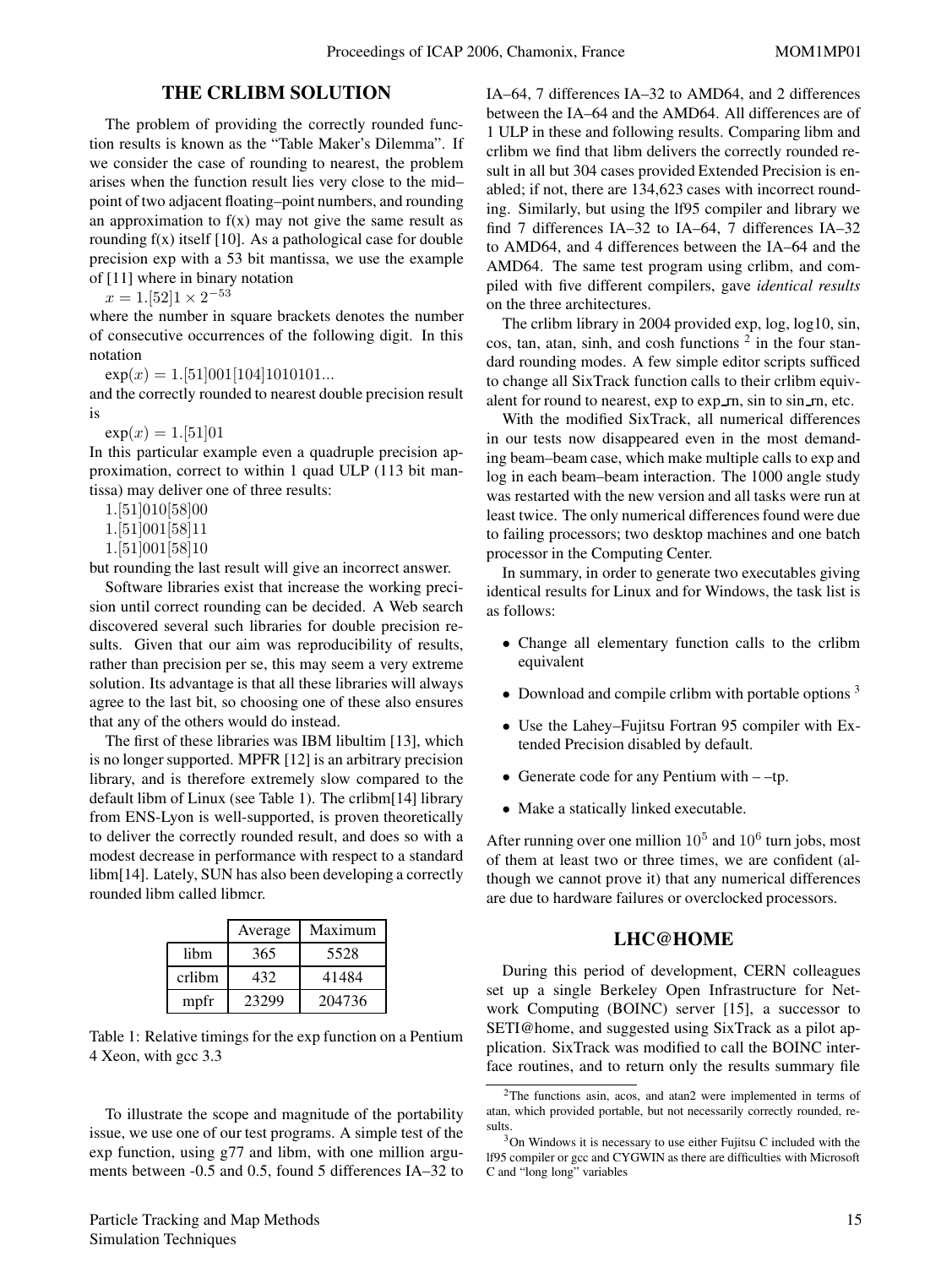# **THE CRLIBM SOLUTION**

The problem of providing the correctly rounded function results is known as the "Table Maker's Dilemma". If we consider the case of rounding to nearest, the problem arises when the function result lies very close to the mid– point of two adjacent floating–point numbers, and rounding an approximation to  $f(x)$  may not give the same result as rounding  $f(x)$  itself [10]. As a pathological case for double precision exp with a 53 bit mantissa, we use the example of [11] where in binary notation

 $x = 1.52$ ] $1 \times 2^{-53}$ 

where the number in square brackets denotes the number of consecutive occurrences of the following digit. In this notation

 $exp(x)=1.51[001[104]1010101...$ 

and the correctly rounded to nearest double precision result is

 $exp(x)=1.51]01$ 

In this particular example even a quadruple precision approximation, correct to within 1 quad ULP (113 bit mantissa) may deliver one of three results:

1.[51]010[58]00

1.[51]001[58]11

1.[51]001[58]10

but rounding the last result will give an incorrect answer.

Software libraries exist that increase the working precision until correct rounding can be decided. A Web search discovered several such libraries for double precision results. Given that our aim was reproducibility of results, rather than precision per se, this may seem a very extreme solution. Its advantage is that all these libraries will always agree to the last bit, so choosing one of these also ensures that any of the others would do instead.

The first of these libraries was IBM libultim [13], which is no longer supported. MPFR [12] is an arbitrary precision library, and is therefore extremely slow compared to the default libm of Linux (see Table 1). The crlibm[14] library from ENS-Lyon is well-supported, is proven theoretically to deliver the correctly rounded result, and does so with a modest decrease in performance with respect to a standard libm[14]. Lately, SUN has also been developing a correctly rounded libm called libmcr.

|        | Average | Maximum |
|--------|---------|---------|
| libm   | 365     | 5528    |
| crlibm | 432     | 41484   |
| mpfr   | 23299   | 204736  |

Table 1: Relative timings for the exp function on a Pentium 4 Xeon, with gcc 3.3

To illustrate the scope and magnitude of the portability issue, we use one of our test programs. A simple test of the exp function, using g77 and libm, with one million arguments between -0.5 and 0.5, found 5 differences IA–32 to IA–64, 7 differences IA–32 to AMD64, and 2 differences between the IA–64 and the AMD64. All differences are of 1 ULP in these and following results. Comparing libm and crlibm we find that libm delivers the correctly rounded result in all but 304 cases provided Extended Precision is enabled; if not, there are 134,623 cases with incorrect rounding. Similarly, but using the lf95 compiler and library we find 7 differences IA–32 to IA–64, 7 differences IA–32 to AMD64, and 4 differences between the IA–64 and the AMD64. The same test program using crlibm, and compiled with five different compilers, gave *identical results* on the three architectures.

The crlibm library in 2004 provided exp, log, log10, sin, cos, tan, atan, sinh, and cosh functions  $2$  in the four standard rounding modes. A few simple editor scripts sufficed to change all SixTrack function calls to their crlibm equivalent for round to nearest, exp to exp  $\mathbf{r}$  rn, sin to sin  $\mathbf{r}$  rn, etc.

With the modified SixTrack, all numerical differences in our tests now disappeared even in the most demanding beam–beam case, which make multiple calls to exp and log in each beam–beam interaction. The 1000 angle study was restarted with the new version and all tasks were run at least twice. The only numerical differences found were due to failing processors; two desktop machines and one batch processor in the Computing Center.

In summary, in order to generate two executables giving identical results for Linux and for Windows, the task list is as follows:

- Change all elementary function calls to the crlibm equivalent
- Download and compile crlibm with portable options<sup>3</sup>
- Use the Lahey–Fujitsu Fortran 95 compiler with Extended Precision disabled by default.
- Generate code for any Pentium with –tp.
- Make a statically linked executable.

After running over one million  $10^5$  and  $10^6$  turn jobs, most of them at least two or three times, we are confident (although we cannot prove it) that any numerical differences are due to hardware failures or overclocked processors.

#### **LHC@HOME**

During this period of development, CERN colleagues set up a single Berkeley Open Infrastructure for Network Computing (BOINC) server [15], a successor to SETI@home, and suggested using SixTrack as a pilot application. SixTrack was modified to call the BOINC interface routines, and to return only the results summary file

<sup>2</sup>The functions asin, acos, and atan2 were implemented in terms of atan, which provided portable, but not necessarily correctly rounded, results.

 $3$ On Windows it is necessary to use either Fujitsu C included with the lf95 compiler or gcc and CYGWIN as there are difficulties with Microsoft C and "long long" variables